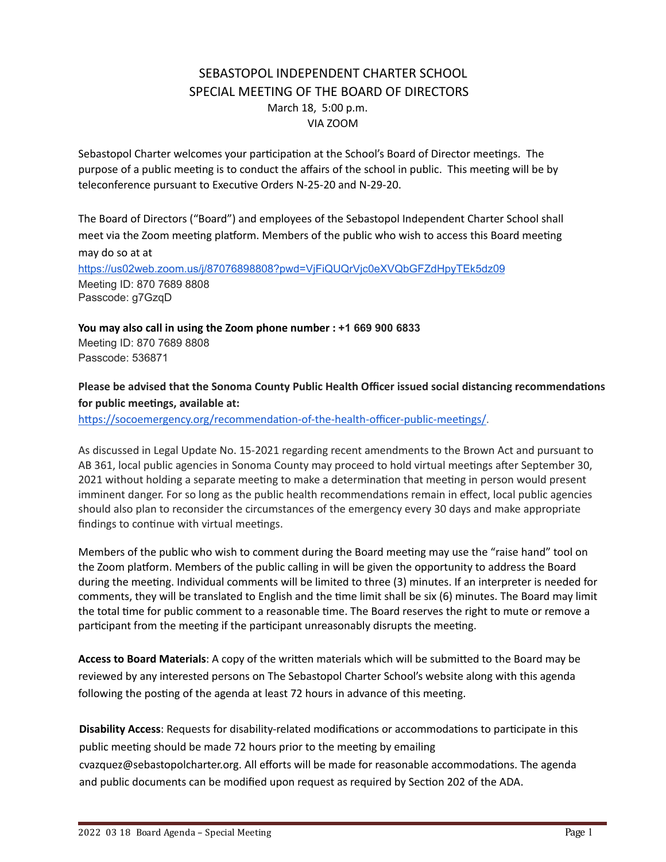# SEBASTOPOL INDEPENDENT CHARTER SCHOOL SPECIAL MEETING OF THE BOARD OF DIRECTORS March 18, 5:00 p.m. VIA ZOOM

Sebastopol Charter welcomes your participation at the School's Board of Director meetings. The purpose of a public meeting is to conduct the affairs of the school in public. This meeting will be by teleconference pursuant to Executive Orders N-25-20 and N-29-20.

The Board of Directors ("Board") and employees of the Sebastopol Independent Charter School shall meet via the Zoom meeting platform. Members of the public who wish to access this Board meeting may do so at at <https://us02web.zoom.us/j/87076898808?pwd=VjFiQUQrVjc0eXVQbGFZdHpyTEk5dz09> Meeting ID: 870 7689 8808

Passcode: g7GzqD

**You may also call in using the Zoom phone number : +1 669 900 6833** Meeting ID: 870 7689 8808 Passcode: 536871

## **Please be advised that the Sonoma County Public Health Officer issued social distancing recommendaons**  $for$  **public** meetings, available at:

https://socoemergency.org/recommendation-of-the-health-officer-public-meetings/.

As discussed in Legal Update No. 15-2021 regarding recent amendments to the Brown Act and pursuant to AB 361, local public agencies in Sonoma County may proceed to hold virtual meetings after September 30, 2021 without holding a separate meeting to make a determination that meeting in person would present imminent danger. For so long as the public health recommendations remain in effect, local public agencies should also plan to reconsider the circumstances of the emergency every 30 days and make appropriate findings to continue with virtual meetings.

Members of the public who wish to comment during the Board meeting may use the "raise hand" tool on the Zoom platform. Members of the public calling in will be given the opportunity to address the Board during the meeting. Individual comments will be limited to three (3) minutes. If an interpreter is needed for comments, they will be translated to English and the time limit shall be six (6) minutes. The Board may limit the total time for public comment to a reasonable time. The Board reserves the right to mute or remove a participant from the meeting if the participant unreasonably disrupts the meeting.

Access to Board Materials: A copy of the written materials which will be submitted to the Board may be reviewed by any interested persons on The Sebastopol Charter School's website along with this agenda following the posting of the agenda at least 72 hours in advance of this meeting.

**Disability Access**: Requests for disability-related modifications or accommodations to participate in this public meeting should be made 72 hours prior to the meeting by emailing

cvazquez@sebastopolcharter.org. All efforts will be made for reasonable accommodations. The agenda and public documents can be modified upon request as required by Section 202 of the ADA.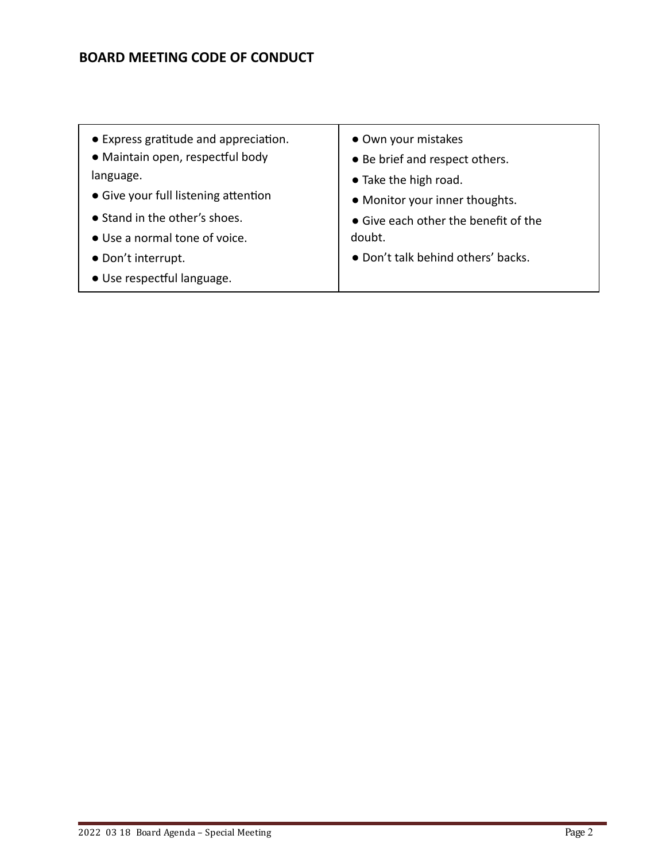# **BOARD MEETING CODE OF CONDUCT**

- Express gratitude and appreciation.
- Maintain open, respectful body language.
- $\bullet$  Give your full listening attention
- Stand in the other's shoes.
- Use a normal tone of voice.
- Don't interrupt.
- · Use respectful language.
- Own your mistakes
- Be brief and respect others.
- Take the high road.
- Monitor your inner thoughts.
- Give each other the benefit of the doubt.
- Don't talk behind others' backs.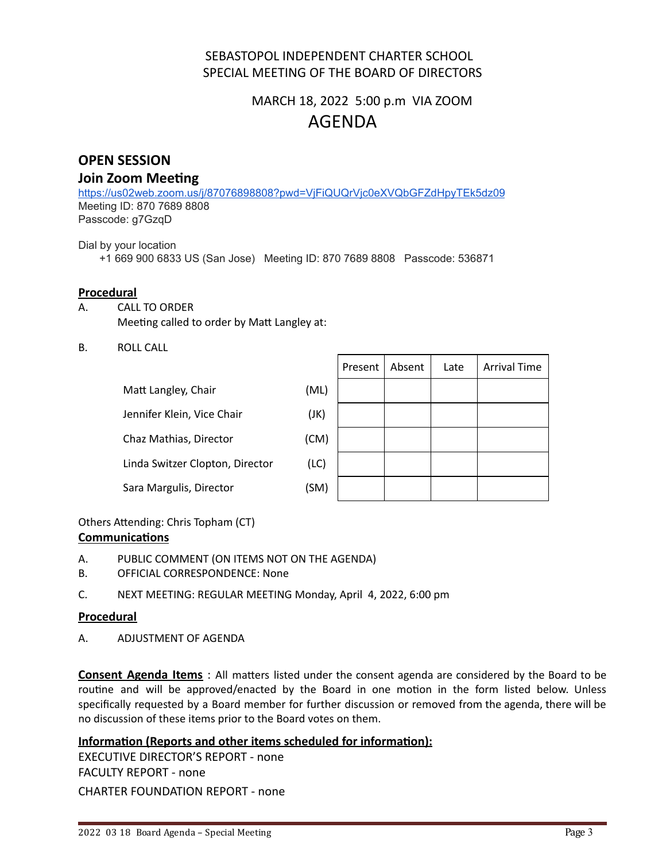# SEBASTOPOL INDEPENDENT CHARTER SCHOOL SPECIAL MEETING OF THE BOARD OF DIRECTORS

# MARCH 18, 2022 5:00 p.m VIA ZOOM AGENDA

# **OPEN SESSION**

## **Join Zoom Meeting**

<https://us02web.zoom.us/j/87076898808?pwd=VjFiQUQrVjc0eXVQbGFZdHpyTEk5dz09> Meeting ID: 870 7689 8808 Passcode: g7GzqD

Dial by your location

+1 669 900 6833 US (San Jose) Meeting ID: 870 7689 8808 Passcode: 536871

#### **Procedural**

- A. CALL TO ORDER Meeting called to order by Matt Langley at:
- B. ROLL CALL

| Matt Langley, Chair             | (ML) |
|---------------------------------|------|
| Jennifer Klein, Vice Chair      | (JK) |
| Chaz Mathias, Director          | (CM) |
| Linda Switzer Clopton, Director | (LC) |
| Sara Margulis, Director         | (SM) |

|   | Present   Absent | Late | <b>Arrival Time</b> |
|---|------------------|------|---------------------|
| ) |                  |      |                     |
|   |                  |      |                     |
| ) |                  |      |                     |
|   |                  |      |                     |
| ) |                  |      |                     |

## Others Attending: Chris Topham (CT)

## **Communications**

- A. PUBLIC COMMENT (ON ITEMS NOT ON THE AGENDA)
- B. OFFICIAL CORRESPONDENCE: None
- C. NEXT MEETING: REGULAR MEETING Monday, April 4, 2022, 6:00 pm

## **Procedural**

A. ADJUSTMENT OF AGENDA

**Consent Agenda Items** : All matters listed under the consent agenda are considered by the Board to be routine and will be approved/enacted by the Board in one motion in the form listed below. Unless specifically requested by a Board member for further discussion or removed from the agenda, there will be no discussion of these items prior to the Board votes on them.

## **Information (Reports and other items scheduled for information):**

EXECUTIVE DIRECTOR'S REPORT - none FACULTY REPORT - none CHARTER FOUNDATION REPORT - none